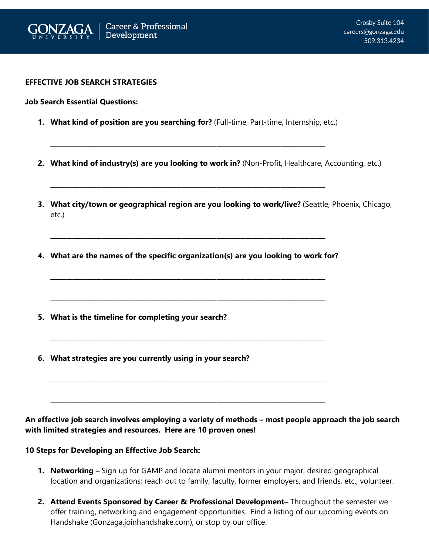

## **EFFECTIVE JOB SEARCH STRATEGIES**

**Job Search Essential Questions:**

**1. What kind of position are you searching for?** (Full-time, Part-time, Internship, etc.)

\_\_\_\_\_\_\_\_\_\_\_\_\_\_\_\_\_\_\_\_\_\_\_\_\_\_\_\_\_\_\_\_\_\_\_\_\_\_\_\_\_\_\_\_\_\_\_\_\_\_\_\_\_\_\_\_\_\_\_\_\_\_\_\_\_\_\_\_\_\_\_\_\_\_\_\_\_\_\_\_\_\_\_\_\_\_

**\_\_\_\_\_\_\_\_\_\_\_\_\_\_\_\_\_\_\_\_\_\_\_\_\_\_\_\_\_\_\_\_\_\_\_\_\_\_\_\_\_\_\_\_\_\_\_\_\_\_\_\_\_\_\_\_\_\_\_\_\_\_\_\_\_\_\_\_\_\_\_\_\_\_\_\_\_\_\_\_\_\_\_\_\_\_**

- **2. What kind of industry(s) are you looking to work in?** (Non-Profit, Healthcare, Accounting, etc.)
- **3. What city/town or geographical region are you looking to work/live?** (Seattle, Phoenix, Chicago, etc.)
- **4. What are the names of the specific organization(s) are you looking to work for?**

**\_\_\_\_\_\_\_\_\_\_\_\_\_\_\_\_\_\_\_\_\_\_\_\_\_\_\_\_\_\_\_\_\_\_\_\_\_\_\_\_\_\_\_\_\_\_\_\_\_\_\_\_\_\_\_\_\_\_\_\_\_\_\_\_\_\_\_\_\_\_\_\_\_\_\_\_\_\_\_\_\_\_\_\_\_\_**

**\_\_\_\_\_\_\_\_\_\_\_\_\_\_\_\_\_\_\_\_\_\_\_\_\_\_\_\_\_\_\_\_\_\_\_\_\_\_\_\_\_\_\_\_\_\_\_\_\_\_\_\_\_\_\_\_\_\_\_\_\_\_\_\_\_\_\_\_\_\_\_\_\_\_\_\_\_\_\_\_\_\_\_\_\_\_**

**\_\_\_\_\_\_\_\_\_\_\_\_\_\_\_\_\_\_\_\_\_\_\_\_\_\_\_\_\_\_\_\_\_\_\_\_\_\_\_\_\_\_\_\_\_\_\_\_\_\_\_\_\_\_\_\_\_\_\_\_\_\_\_\_\_\_\_\_\_\_\_\_\_\_\_\_\_\_\_\_\_\_\_\_\_\_**

**\_\_\_\_\_\_\_\_\_\_\_\_\_\_\_\_\_\_\_\_\_\_\_\_\_\_\_\_\_\_\_\_\_\_\_\_\_\_\_\_\_\_\_\_\_\_\_\_\_\_\_\_\_\_\_\_\_\_\_\_\_\_\_\_\_\_\_\_\_\_\_\_\_\_\_\_\_\_\_\_\_\_\_\_\_\_**

**\_\_\_\_\_\_\_\_\_\_\_\_\_\_\_\_\_\_\_\_\_\_\_\_\_\_\_\_\_\_\_\_\_\_\_\_\_\_\_\_\_\_\_\_\_\_\_\_\_\_\_\_\_\_\_\_\_\_\_\_\_\_\_\_\_\_\_\_\_\_\_\_\_\_\_\_\_\_\_\_\_\_\_\_\_\_**

**\_\_\_\_\_\_\_\_\_\_\_\_\_\_\_\_\_\_\_\_\_\_\_\_\_\_\_\_\_\_\_\_\_\_\_\_\_\_\_\_\_\_\_\_\_\_\_\_\_\_\_\_\_\_\_\_\_\_\_\_\_\_\_\_\_\_\_\_\_\_\_\_\_\_\_\_\_\_\_\_\_\_\_\_\_\_**

- **5. What is the timeline for completing your search?**
- **6. What strategies are you currently using in your search?**

**An effective job search involves employing a variety of methods – most people approach the job search with limited strategies and resources. Here are 10 proven ones!**

## **10 Steps for Developing an Effective Job Search:**

- **1. Networking –** Sign up for GAMP and locate alumni mentors in your major, desired geographical location and organizations; reach out to family, faculty, former employers, and friends, etc.; volunteer.
- **2. Attend Events Sponsored by Career & Professional Development–** Throughout the semester we offer training, networking and engagement opportunities. Find a listing of our upcoming events on Handshake (Gonzaga.joinhandshake.com), or stop by our office.